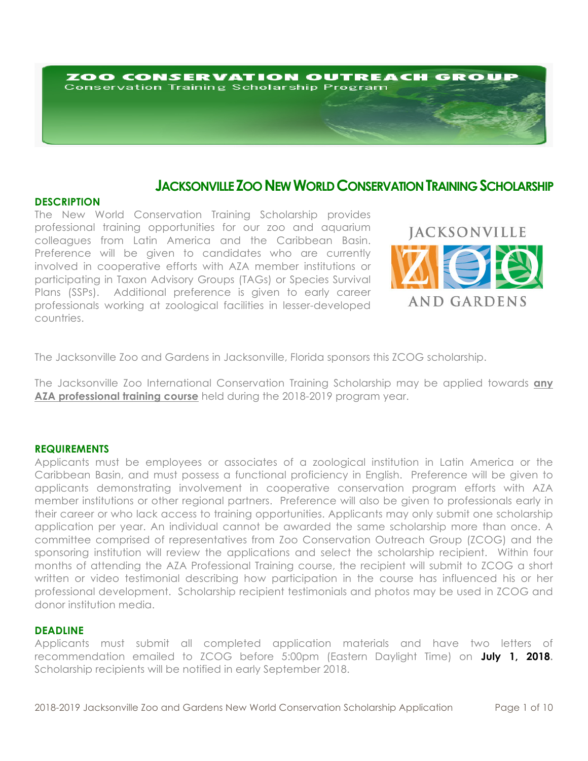# ZOO CONSERVATION OUTREACH GROUP **Conservation Training Scholarship Program**

# **JACKSONVILLE ZOO NEW WORLD CONSERVATION TRAINING SCHOLARSHIP**

# **DESCRIPTION**

The New World Conservation Training Scholarship provides professional training opportunities for our zoo and aquarium colleagues from Latin America and the Caribbean Basin. Preference will be given to candidates who are currently involved in cooperative efforts with AZA member institutions or participating in Taxon Advisory Groups (TAGs) or Species Survival Plans (SSPs). Additional preference is given to early career professionals working at zoological facilities in lesser-developed countries.



The Jacksonville Zoo and Gardens in Jacksonville, Florida sponsors this ZCOG scholarship.

The Jacksonville Zoo International Conservation Training Scholarship may be applied towards **any AZA professional training course** held during the 2018-2019 program year.

## **REQUIREMENTS**

Applicants must be employees or associates of a zoological institution in Latin America or the Caribbean Basin, and must possess a functional proficiency in English. Preference will be given to applicants demonstrating involvement in cooperative conservation program efforts with AZA member institutions or other regional partners. Preference will also be given to professionals early in their career or who lack access to training opportunities. Applicants may only submit one scholarship application per year. An individual cannot be awarded the same scholarship more than once. A committee comprised of representatives from Zoo Conservation Outreach Group (ZCOG) and the sponsoring institution will review the applications and select the scholarship recipient. Within four months of attending the AZA Professional Training course, the recipient will submit to ZCOG a short written or video testimonial describing how participation in the course has influenced his or her professional development. Scholarship recipient testimonials and photos may be used in ZCOG and donor institution media.

## **DEADLINE**

Applicants must submit all completed application materials and have two letters of recommendation emailed to ZCOG before 5:00pm (Eastern Daylight Time) on **July 1, 2018.** Scholarship recipients will be notified in early September 2018.

2018-2019 Jacksonville Zoo and Gardens New World Conservation Scholarship Application Page 1 of 10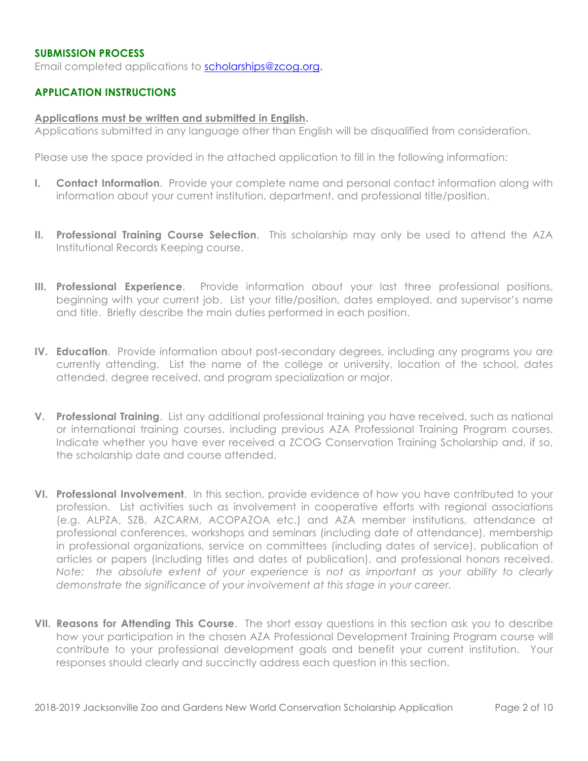# **SUBMISSION PROCESS**

Email completed applications to scholarships@zcog.org.

# **APPLICATION INSTRUCTIONS**

#### **Applications must be written and submitted in English.**

Applications submitted in any language other than English will be disqualified from consideration.

Please use the space provided in the attached application to fill in the following information:

- **I. Contact Information**. Provide your complete name and personal contact information along with information about your current institution, department, and professional title/position.
- **II. Professional Training Course Selection**. This scholarship may only be used to attend the AZA Institutional Records Keeping course.
- **III. Professional Experience**. Provide information about your last three professional positions, beginning with your current job. List your title/position, dates employed, and supervisor's name and title. Briefly describe the main duties performed in each position.
- **IV. Education**. Provide information about post-secondary degrees, including any programs you are currently attending. List the name of the college or university, location of the school, dates attended, degree received, and program specialization or major.
- **V. Professional Training**. List any additional professional training you have received, such as national or international training courses, including previous AZA Professional Training Program courses. Indicate whether you have ever received a ZCOG Conservation Training Scholarship and, if so, the scholarship date and course attended.
- **VI. Professional Involvement**. In this section, provide evidence of how you have contributed to your profession. List activities such as involvement in cooperative efforts with regional associations (e.g. ALPZA, SZB, AZCARM, ACOPAZOA etc.) and AZA member institutions, attendance at professional conferences, workshops and seminars (including date of attendance), membership in professional organizations, service on committees (including dates of service), publication of articles or papers (including titles and dates of publication), and professional honors received. *Note: the absolute extent of your experience is not as important as your ability to clearly demonstrate the significance of your involvement at this stage in your career.*
- **VII. Reasons for Attending This Course**. The short essay questions in this section ask you to describe how your participation in the chosen AZA Professional Development Training Program course will contribute to your professional development goals and benefit your current institution. Your responses should clearly and succinctly address each question in this section.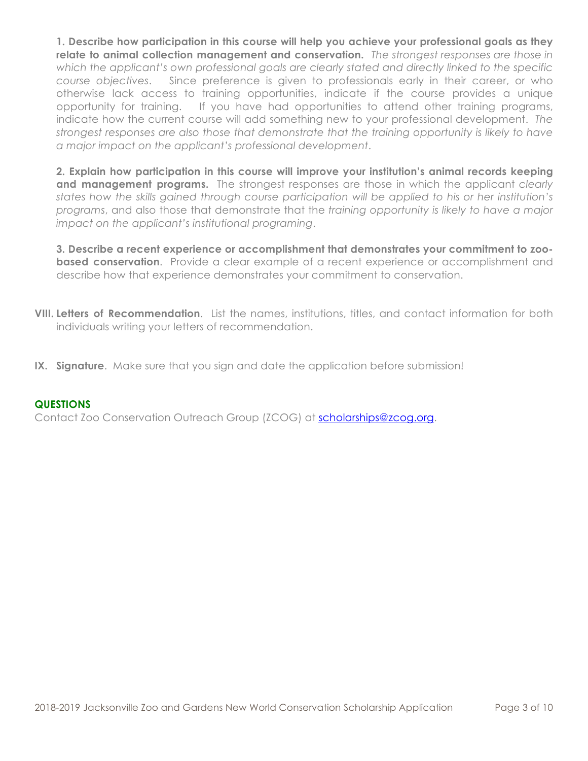**1. Describe how participation in this course will help you achieve your professional goals as they relate to animal collection management and conservation.** *The strongest responses are those in which the applicant's own professional goals are clearly stated and directly linked to the specific course objectives*. Since preference is given to professionals early in their career, or who otherwise lack access to training opportunities, indicate if the course provides a unique opportunity for training. If you have had opportunities to attend other training programs, indicate how the current course will add something new to your professional development. *The strongest responses are also those that demonstrate that the training opportunity is likely to have a major impact on the applicant's professional development*.

**2. Explain how participation in this course will improve your institution's animal records keeping and management programs.** The strongest responses are those in which the applicant *clearly states how the skills gained through course participation will be applied to his or her institution's programs*, and also those that demonstrate that the *training opportunity is likely to have a major impact on the applicant's institutional programing*.

**3. Describe a recent experience or accomplishment that demonstrates your commitment to zoobased conservation**. Provide a clear example of a recent experience or accomplishment and describe how that experience demonstrates your commitment to conservation.

- **VIII. Letters of Recommendation**. List the names, institutions, titles, and contact information for both individuals writing your letters of recommendation.
- **IX. Signature**. Make sure that you sign and date the application before submission!

# **QUESTIONS**

Contact Zoo Conservation Outreach Group (ZCOG) at scholarships@zcog.org.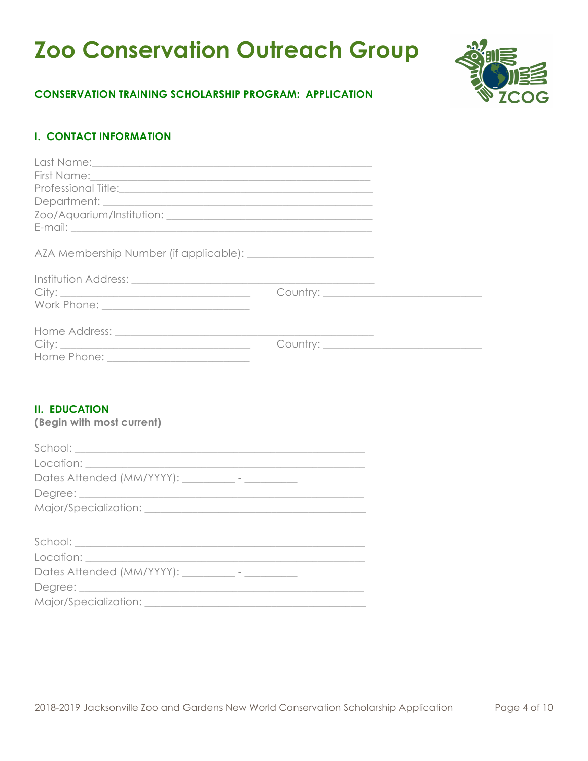# **Zoo Conservation Outreach Group**



# **CONSERVATION TRAINING SCHOLARSHIP PROGRAM: APPLICATION**

# **I. CONTACT INFORMATION**

| Professional Title: <u>Contract and Contract and Contract and Contract and Contract and Contract and Contract and Contract and Contract and Contract and Contract and Contract and Contract and Contract and Contract and Contra</u> |  |
|--------------------------------------------------------------------------------------------------------------------------------------------------------------------------------------------------------------------------------------|--|
|                                                                                                                                                                                                                                      |  |
|                                                                                                                                                                                                                                      |  |
|                                                                                                                                                                                                                                      |  |
|                                                                                                                                                                                                                                      |  |
|                                                                                                                                                                                                                                      |  |
|                                                                                                                                                                                                                                      |  |
|                                                                                                                                                                                                                                      |  |
|                                                                                                                                                                                                                                      |  |
|                                                                                                                                                                                                                                      |  |
|                                                                                                                                                                                                                                      |  |

# **II. EDUCATION**

## **(Begin with most current)**

| Dates Attended (MM/YYYY): __________- - ____________                                                                                                                                                                                                                                                        |
|-------------------------------------------------------------------------------------------------------------------------------------------------------------------------------------------------------------------------------------------------------------------------------------------------------------|
|                                                                                                                                                                                                                                                                                                             |
|                                                                                                                                                                                                                                                                                                             |
|                                                                                                                                                                                                                                                                                                             |
|                                                                                                                                                                                                                                                                                                             |
|                                                                                                                                                                                                                                                                                                             |
| Dates Attended (MM/YYYY): __________- - ____________                                                                                                                                                                                                                                                        |
|                                                                                                                                                                                                                                                                                                             |
| $\mathbf{r}$ , $\mathbf{r}$ , $\mathbf{r}$ , $\mathbf{r}$ , $\mathbf{r}$ , $\mathbf{r}$ , $\mathbf{r}$ , $\mathbf{r}$ , $\mathbf{r}$ , $\mathbf{r}$ , $\mathbf{r}$ , $\mathbf{r}$ , $\mathbf{r}$ , $\mathbf{r}$ , $\mathbf{r}$ , $\mathbf{r}$ , $\mathbf{r}$ , $\mathbf{r}$ , $\mathbf{r}$ , $\mathbf{r}$ , |

Major/Specialization: \_\_\_\_\_\_\_\_\_\_\_\_\_\_\_\_\_\_\_\_\_\_\_\_\_\_\_\_\_\_\_\_\_\_\_\_\_\_\_\_\_\_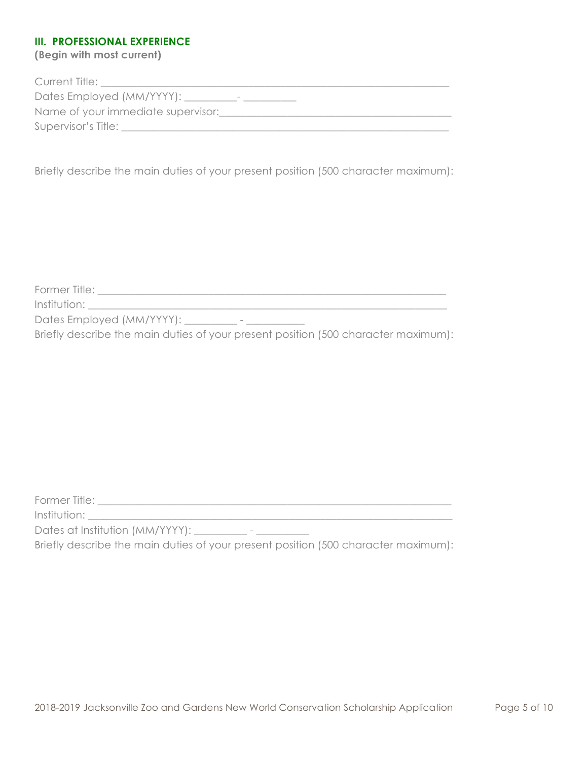# **III. PROFESSIONAL EXPERIENCE**

**(Begin with most current)**

| Current Title:                                    |
|---------------------------------------------------|
| Dates Employed (MM/YYYY): ___<br>$\hspace{0.5cm}$ |
| Name of your immediate supervisor:                |
| Supervisor's Title:                               |
|                                                   |

Briefly describe the main duties of your present position (500 character maximum):

Former Title: \_\_\_\_\_\_\_\_\_\_\_\_\_\_\_\_\_\_\_\_\_\_\_\_\_\_\_\_\_\_\_\_\_\_\_\_\_\_\_\_\_\_\_\_\_\_\_\_\_\_\_\_\_\_\_\_\_\_\_\_\_\_\_\_\_\_

 $Institution:$   $\blacksquare$ 

Dates Employed (MM/YYYY): \_\_\_\_\_\_\_\_\_\_ - \_\_\_\_\_\_\_\_\_\_

Briefly describe the main duties of your present position (500 character maximum):

Former Title: \_\_\_\_\_\_\_\_\_\_\_\_\_\_\_\_\_\_\_\_\_\_\_\_\_\_\_\_\_\_\_\_\_\_\_\_\_\_\_\_\_\_\_\_\_\_\_\_\_\_\_\_\_\_\_\_\_\_\_\_\_\_\_\_\_\_\_

Institution: \_\_\_\_\_\_\_\_\_\_\_\_\_\_\_\_\_\_\_\_\_\_\_\_\_\_\_\_\_\_\_\_\_\_\_\_\_\_\_\_\_\_\_\_\_\_\_\_\_\_\_\_\_\_\_\_\_\_\_\_\_\_\_\_\_\_\_\_\_

Dates at Institution (MM/YYYY): \_\_\_\_\_\_\_\_\_\_ - \_\_\_\_\_\_\_\_\_\_

Briefly describe the main duties of your present position (500 character maximum):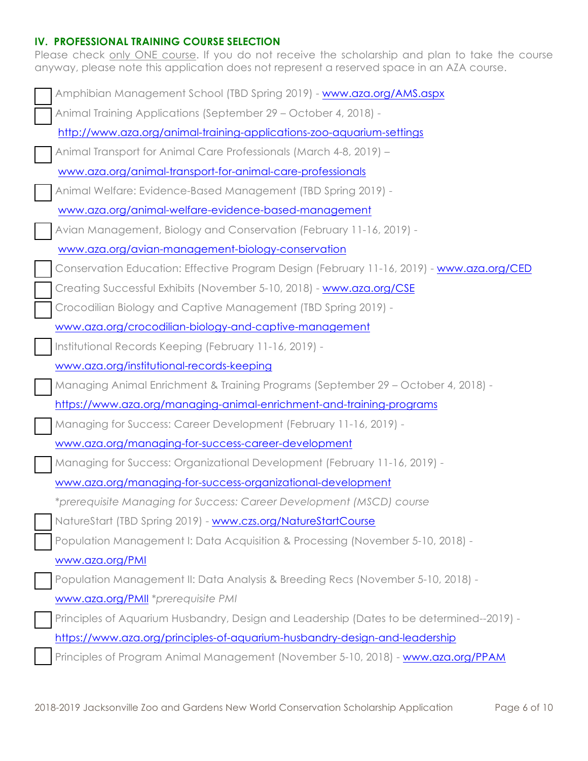# **IV. PROFESSIONAL TRAINING COURSE SELECTION**

Please check only ONE course. If you do not receive the scholarship and plan to take the course anyway, please note this application does not represent a reserved space in an AZA course.

| Amphibian Management School (TBD Spring 2019) - www.aza.org/AMS.aspx                      |  |  |
|-------------------------------------------------------------------------------------------|--|--|
| Animal Training Applications (September 29 - October 4, 2018) -                           |  |  |
| http://www.aza.org/animal-training-applications-zoo-aquarium-settings                     |  |  |
| Animal Transport for Animal Care Professionals (March 4-8, 2019) -                        |  |  |
| www.aza.org/animal-transport-for-animal-care-professionals                                |  |  |
| Animal Welfare: Evidence-Based Management (TBD Spring 2019) -                             |  |  |
| www.aza.org/animal-welfare-evidence-based-management                                      |  |  |
| Avian Management, Biology and Conservation (February 11-16, 2019) -                       |  |  |
| www.aza.org/avian-management-biology-conservation                                         |  |  |
| Conservation Education: Effective Program Design (February 11-16, 2019) - www.aza.org/CED |  |  |
| Creating Successful Exhibits (November 5-10, 2018) - www.aza.org/CSE                      |  |  |
| Crocodilian Biology and Captive Management (TBD Spring 2019) -                            |  |  |
| www.aza.org/crocodilian-biology-and-captive-management                                    |  |  |
| Institutional Records Keeping (February 11-16, 2019) -                                    |  |  |
| www.aza.org/institutional-records-keeping                                                 |  |  |
| Managing Animal Enrichment & Training Programs (September 29 - October 4, 2018) -         |  |  |
| https://www.aza.org/managing-animal-enrichment-and-training-programs                      |  |  |
| Managing for Success: Career Development (February 11-16, 2019) -                         |  |  |
| www.aza.org/managing-for-success-career-development                                       |  |  |
| Managing for Success: Organizational Development (February 11-16, 2019) -                 |  |  |
| www.aza.org/managing-for-success-organizational-development                               |  |  |
| *prerequisite Managing for Success: Career Development (MSCD) course                      |  |  |
| NatureStart (TBD Spring 2019) - www.czs.org/NatureStartCourse                             |  |  |
| Population Management I: Data Acquisition & Processing (November 5-10, 2018) -            |  |  |
| www.aza.org/PMI                                                                           |  |  |
| Population Management II: Data Analysis & Breeding Recs (November 5-10, 2018) -           |  |  |
| www.aza.org/PMII *prerequisite PMI                                                        |  |  |
| Principles of Aquarium Husbandry, Design and Leadership (Dates to be determined--2019) -  |  |  |
| https://www.aza.org/principles-of-aquarium-husbandry-design-and-leadership                |  |  |
| Principles of Program Animal Management (November 5-10, 2018) - www.aza.org/PPAM          |  |  |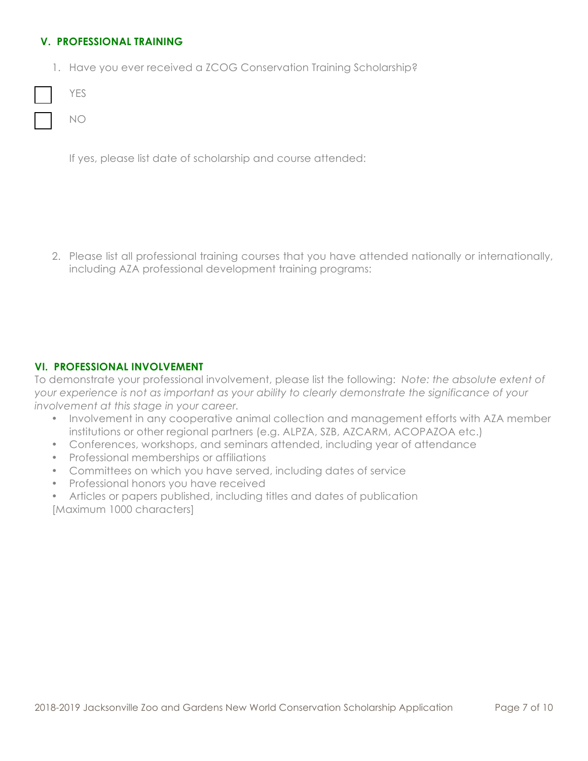# **V. PROFESSIONAL TRAINING**

1. Have you ever received a ZCOG Conservation Training Scholarship?

If yes, please list date of scholarship and course attended:

2. Please list all professional training courses that you have attended nationally or internationally, including AZA professional development training programs:

# **VI. PROFESSIONAL INVOLVEMENT**

To demonstrate your professional involvement, please list the following: *Note: the absolute extent of your experience is not as important as your ability to clearly demonstrate the significance of your involvement at this stage in your career.* 

- Involvement in any cooperative animal collection and management efforts with AZA member institutions or other regional partners (e.g. ALPZA, SZB, AZCARM, ACOPAZOA etc.)
- Conferences, workshops, and seminars attended, including year of attendance
- Professional memberships or affiliations
- Committees on which you have served, including dates of service
- Professional honors you have received
- Articles or papers published, including titles and dates of publication [Maximum 1000 characters]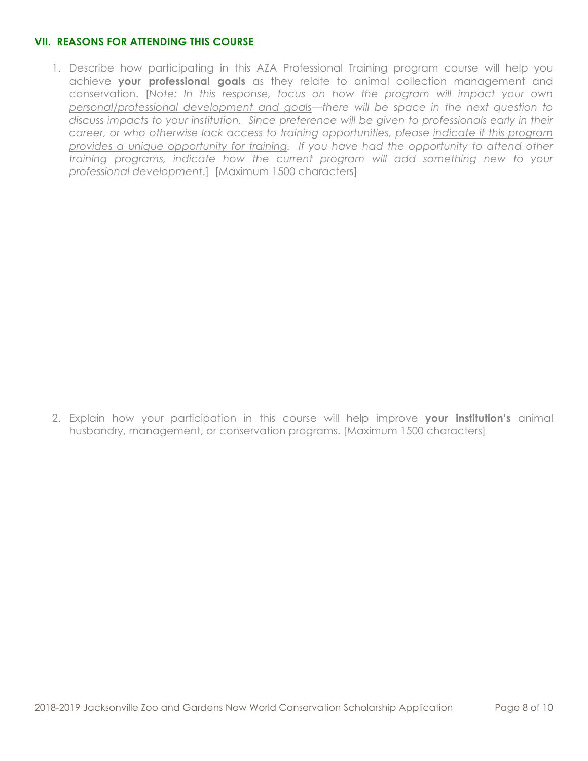# **VII. REASONS FOR ATTENDING THIS COURSE**

1. Describe how participating in this AZA Professional Training program course will help you achieve **your professional goals** as they relate to animal collection management and conservation. [*Note: In this response, focus on how the program will impact your own personal/professional development and goals—there will be space in the next question to discuss impacts to your institution. Since preference will be given to professionals early in their career, or who otherwise lack access to training opportunities, please indicate if this program provides a unique opportunity for training. If you have had the opportunity to attend other training programs, indicate how the current program will add something new to your professional development*.] [Maximum 1500 characters]

2. Explain how your participation in this course will help improve **your institution's** animal husbandry, management, or conservation programs. [Maximum 1500 characters]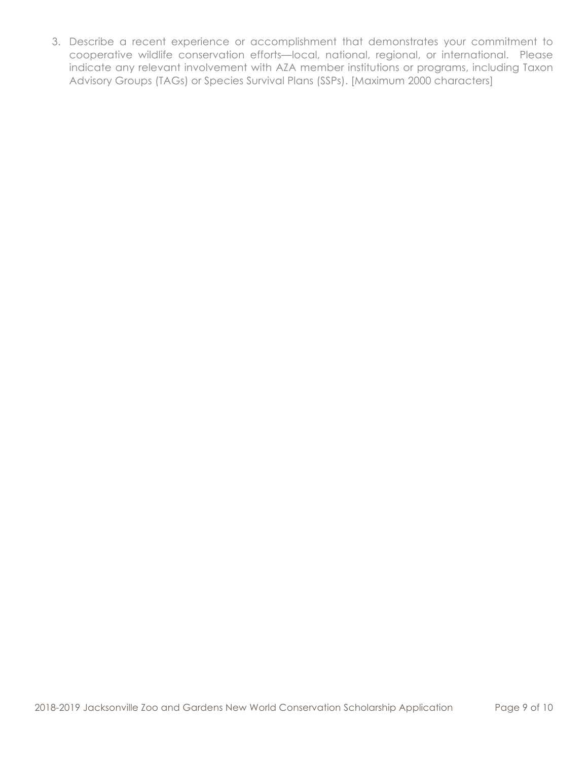3. Describe a recent experience or accomplishment that demonstrates your commitment to cooperative wildlife conservation efforts—local, national, regional, or international. Please indicate any relevant involvement with AZA member institutions or programs, including Taxon Advisory Groups (TAGs) or Species Survival Plans (SSPs). [Maximum 2000 characters]